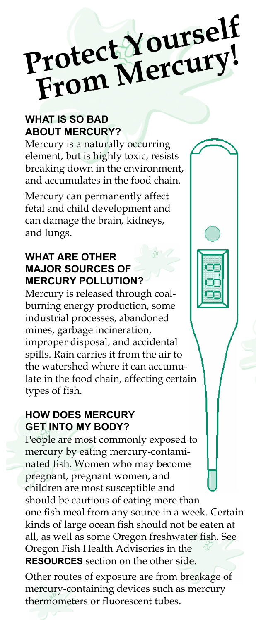# Protect Yourself rotect Toury!

## **WHAT IS SO BAD ABOUT MERCURY?**

Mercury is a naturally occurring element, but is highly toxic, resists breaking down in the environment, and accumulates in the food chain.

Mercury can permanently affect fetal and child development and can damage the brain, kidneys, and lungs.

#### **WHAT ARE OTHER MAJOR SOURCES OF MERCURY POLLUTION?**

Mercury is released through coalburning energy production, some industrial processes, abandoned mines, garbage incineration, improper disposal, and accidental spills. Rain carries it from the air to the watershed where it can accumulate in the food chain, affecting certain types of fish.

#### **HOW DOES MERCURY GET INTO MY BODY?**

People are most commonly exposed to mercury by eating mercury-contaminated fish. Women who may become pregnant, pregnant women, and children are most susceptible and should be cautious of eating more than one fish meal from any source in a week. Certain kinds of large ocean fish should not be eaten at all, as well as some Oregon freshwater fish. See Oregon Fish Health Advisories in the **RESOURCES** section on the other side.

Other routes of exposure are from breakage of mercury-containing devices such as mercury thermometers or fluorescent tubes.